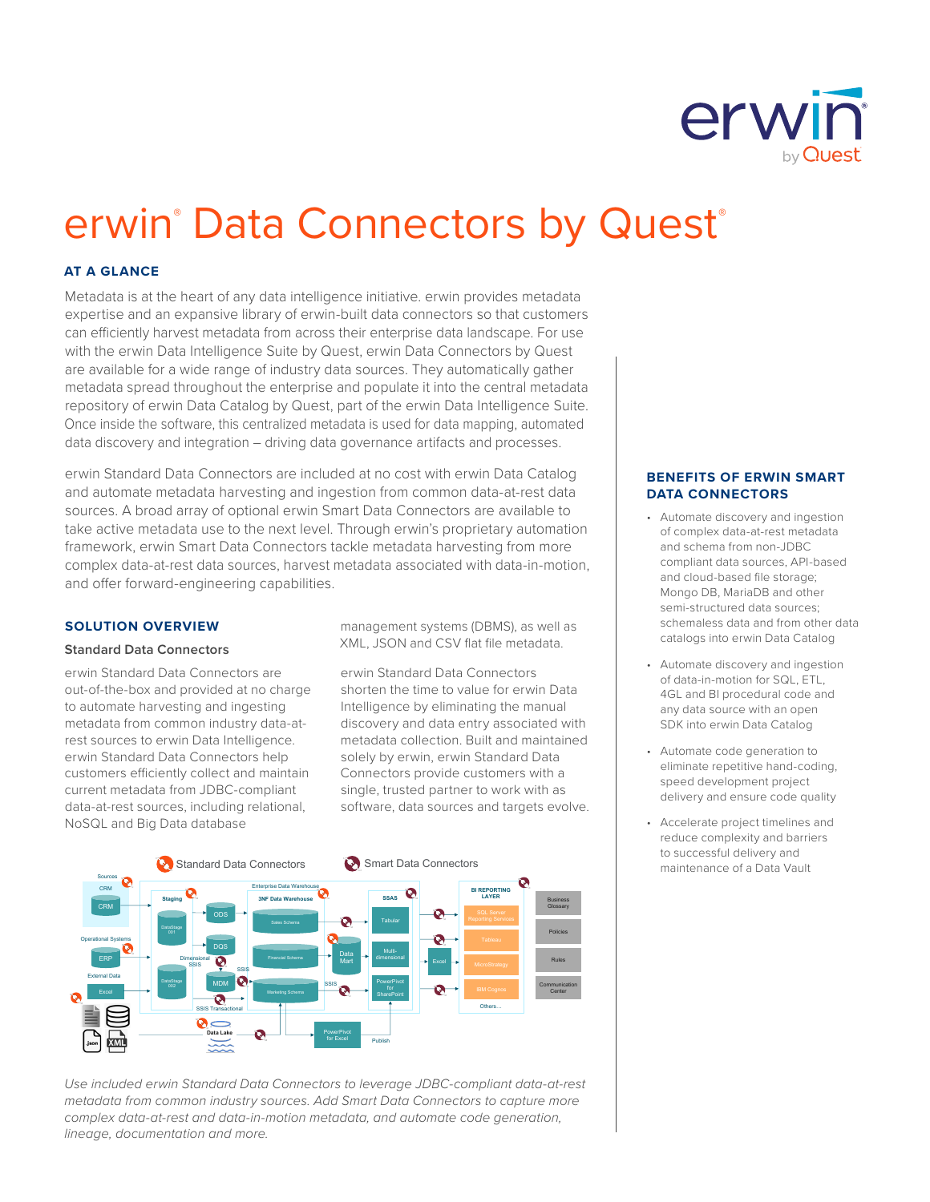

# erwin<sup>®</sup> Data Connectors by Quest®

## **AT A GLANCE**

Metadata is at the heart of any data intelligence initiative. erwin provides metadata expertise and an expansive library of erwin-built data connectors so that customers can efficiently harvest metadata from across their enterprise data landscape. For use with the erwin Data Intelligence Suite by Quest, erwin Data Connectors by Quest are available for a wide range of industry data sources. They automatically gather metadata spread throughout the enterprise and populate it into the central metadata repository of erwin Data Catalog by Quest, part of the erwin Data Intelligence Suite. Once inside the software, this centralized metadata is used for data mapping, automated data discovery and integration – driving data governance artifacts and processes.

erwin Standard Data Connectors are included at no cost with erwin Data Catalog and automate metadata harvesting and ingestion from common data-at-rest data sources. A broad array of optional erwin Smart Data Connectors are available to take active metadata use to the next level. Through erwin's proprietary automation framework, erwin Smart Data Connectors tackle metadata harvesting from more complex data-at-rest data sources, harvest metadata associated with data-in-motion, and offer forward-engineering capabilities.

## **SOLUTION OVERVIEW**

## **Standard Data Connectors**

erwin Standard Data Connectors are out-of-the-box and provided at no charge to automate harvesting and ingesting metadata from common industry data-atrest sources to erwin Data Intelligence. erwin Standard Data Connectors help customers efficiently collect and maintain current metadata from JDBC-compliant data-at-rest sources, including relational, NoSQL and Big Data database

management systems (DBMS), as well as XML, JSON and CSV flat file metadata.

erwin Standard Data Connectors shorten the time to value for erwin Data Intelligence by eliminating the manual discovery and data entry associated with metadata collection. Built and maintained solely by erwin, erwin Standard Data Connectors provide customers with a single, trusted partner to work with as software, data sources and targets evolve.



*Use included erwin Standard Data Connectors to leverage JDBC-compliant data-at-rest metadata from common industry sources. Add Smart Data Connectors to capture more complex data-at-rest and data-in-motion metadata, and automate code generation, lineage, documentation and more.*

#### **BENEFITS OF ERWIN SMART DATA CONNECTORS**

- Automate discovery and ingestion of complex data-at-rest metadata and schema from non-JDBC compliant data sources, API-based and cloud-based file storage; Mongo DB, MariaDB and other semi-structured data sources; schemaless data and from other data catalogs into erwin Data Catalog
- Automate discovery and ingestion of data-in-motion for SQL, ETL, 4GL and BI procedural code and any data source with an open SDK into erwin Data Catalog
- Automate code generation to eliminate repetitive hand-coding, speed development project delivery and ensure code quality
- Accelerate project timelines and reduce complexity and barriers to successful delivery and maintenance of a Data Vault